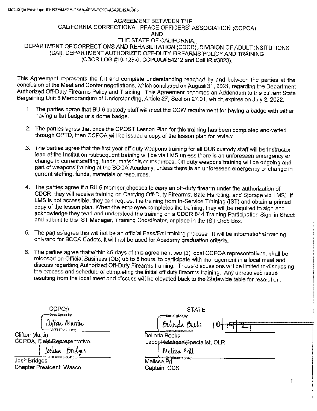## AGREEMENT BETWEEN THE CALIFORNIA CORRECTIONAL PEACE OFFICERS' ASSOCIATION (CCPOA) AND THE STATE OF CALIFORNIA, DEPARTMENT OF CORRECTIONS AND REHABILITATION (CDCR), DIVISION OF ADULT INSITUTIONS (DAI), DEPARTMENT AUTHORIZED OFF-DUTY FIREARMS POLICY AND TRAINING (CDCR LOG #19-128-0, CCPOA# 54212 and CalHR #3023).

This Agreement represents the full and complete understanding reached by and between the parties at the conclusion of the Meet and Confer negotiations, which concluded on August 31, 2021, regarding the Department Authorized Off-Duty Firearms Policy and Training. This Agreement becomes an Addendum to the current State Bargaining Unit 6 Memorandum of Understanding, Article 27, Section 27.01, which expires on July 2, 2022.

- 1. The parties agree that BU 6 custody staff will meet the CCW requirement for having a badge with either having a flat badge or a dome badge.
- 2. The parties agree that once the CPOST Lesson Plan for this training has been completed and vetted through OPTD, then CCPOA will be issued a copy of the lesson plan for review.
- 3. The parties agree that the first year off duty weapons training for all BU6 custody staff will be Instructor lead at the Institution, subsequent training will be via LMS unless there is an unforeseen emergency or change in current staffing, funds, materials or resources. Off duty weapons training will be ongoing and part of weapons training at the BCOA Academy, unless there is an unforeseen emergency or change in current staffing, funds, materials or resources.
- 4. The parties agree if a BU 6 member chooses to carry an off-duty firearm under the authorization of CDCR, they will receive training on Carrying Off-Duty Firearms, Safe Handling, and Storage via LMS. If LMS is not accessible, they can request the training from In-Service Training (1ST) and obtain a printed copy of the lesson plan. When the employee completes the training, they will be required to sign and acknowledge they read and understood the training on a CDCR 844 Training Participation Sign-in Sheet and submit to the 1ST Manager, Training Coordinator, or place in the 1ST Drop Box.
- 5. The parties agree this will not be an official Pass/Fail training process. It will be informational training only and for BCOA Cadets, it will not be used for Academy graduation criteria.
- 6. The parties agree that within 45 days of this agreement two (2) local CCPOA representatives, shall be released on Official Business (OB) up to 8 hours, to participate with management in a local meet and discuss regarding Authorized Off-Duty Firearms training. These discussions will be limited to discussing the process and schedule of completing the initial off duty firearms training. Any unresolved issue resulting from the local meet and discuss will be elevated back to the Statewide table for resolution.

**CCPOA** DocuSianed by: (lifton Martin CR9FFF9912CD421

Clifton Martin CCPOA, Field Representative

Josluia *Brida*ks

4FA36F8588445... **Josh Bridges** Chapter President, Wasco

**STATE** DocuSioned by:

Belinda Beeks Labor-Relations Specialist, OLR

Bilinda Bieks

Melissa Prill

Melissa Prill Captain, OCS